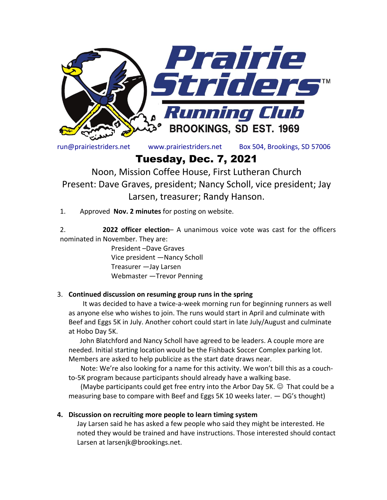

run@prairiestriders.net www.prairiestriders.net Box 504, Brookings, SD 57006

# Tuesday, Dec. 7, 2021

Noon, Mission Coffee House, First Lutheran Church Present: Dave Graves, president; Nancy Scholl, vice president; Jay Larsen, treasurer; Randy Hanson.

1. Approved **Nov. 2 minutes** for posting on website.

2. **2022 officer election**– A unanimous voice vote was cast for the officers nominated in November. They are:

> President –Dave Graves Vice president —Nancy Scholl Treasurer —Jay Larsen Webmaster —Trevor Penning

#### 3. **Continued discussion on resuming group runs in the spring**

It was decided to have a twice-a-week morning run for beginning runners as well as anyone else who wishes to join. The runs would start in April and culminate with Beef and Eggs 5K in July. Another cohort could start in late July/August and culminate at Hobo Day 5K.

John Blatchford and Nancy Scholl have agreed to be leaders. A couple more are needed. Initial starting location would be the Fishback Soccer Complex parking lot. Members are asked to help publicize as the start date draws near.

 Note: We're also looking for a name for this activity. We won't bill this as a couchto-5K program because participants should already have a walking base.

(Maybe participants could get free entry into the Arbor Day 5K.  $\odot$  That could be a measuring base to compare with Beef and Eggs 5K 10 weeks later. — DG's thought)

#### **4. Discussion on recruiting more people to learn timing system**

Jay Larsen said he has asked a few people who said they might be interested. He noted they would be trained and have instructions. Those interested should contact Larsen at larsenjk@brookings.net.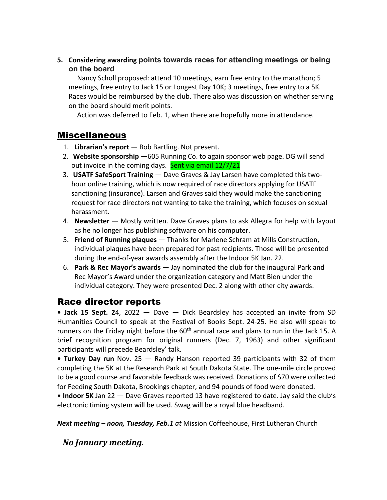**5. Considering awarding points towards races for attending meetings or being on the board**

Nancy Scholl proposed: attend 10 meetings, earn free entry to the marathon; 5 meetings, free entry to Jack 15 or Longest Day 10K; 3 meetings, free entry to a 5K. Races would be reimbursed by the club. There also was discussion on whether serving on the board should merit points.

Action was deferred to Feb. 1, when there are hopefully more in attendance.

## Miscellaneous

- 1. **Librarian's report** Bob Bartling. Not present.
- 2. **Website sponsorship** —605 Running Co. to again sponsor web page. DG will send out invoice in the coming days. Sent via email 12/7/21
- 3. **USATF SafeSport Training** Dave Graves & Jay Larsen have completed this twohour online training, which is now required of race directors applying for USATF sanctioning (insurance). Larsen and Graves said they would make the sanctioning request for race directors not wanting to take the training, which focuses on sexual harassment.
- 4. **Newsletter**  Mostly written. Dave Graves plans to ask Allegra for help with layout as he no longer has publishing software on his computer.
- 5. **Friend of Running plaques**  Thanks for Marlene Schram at Mills Construction, individual plaques have been prepared for past recipients. Those will be presented during the end-of-year awards assembly after the Indoor 5K Jan. 22.
- 6. **Park & Rec Mayor's awards**  Jay nominated the club for the inaugural Park and Rec Mayor's Award under the organization category and Matt Bien under the individual category. They were presented Dec. 2 along with other city awards.

## Race director reports

**• Jack 15 Sept. 2**4, 2022 — Dave — Dick Beardsley has accepted an invite from SD Humanities Council to speak at the Festival of Books Sept. 24-25. He also will speak to runners on the Friday night before the  $60<sup>th</sup>$  annual race and plans to run in the Jack 15. A brief recognition program for original runners (Dec. 7, 1963) and other significant participants will precede Beardsley' talk.

**• Turkey Day run** Nov. 25 — Randy Hanson reported 39 participants with 32 of them completing the 5K at the Research Park at South Dakota State. The one-mile circle proved to be a good course and favorable feedback was received. Donations of \$70 were collected for Feeding South Dakota, Brookings chapter, and 94 pounds of food were donated.

• **Indoor 5K** Jan 22 — Dave Graves reported 13 have registered to date. Jay said the club's electronic timing system will be used. Swag will be a royal blue headband.

*Next meeting – noon, Tuesday, Feb.1 at* Mission Coffeehouse, First Lutheran Church

*No January meeting.*